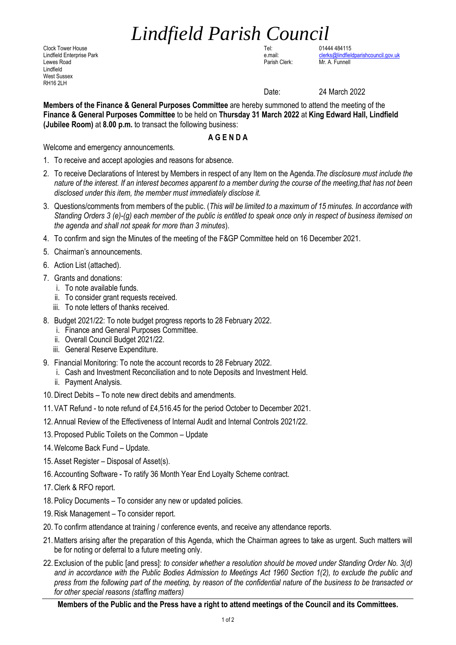## *Lindfield Parish Council*

Clock Tower House Tel: 01444 484115 Lewes Road Parish Clerk: Mr. A. Funnell Lindfield West Sussex **RH16 2LH** 

Lindfield Enterprise Park e.mail: e.mail: e.mail: e.mail: [clerks@lindfieldparishcouncil.gov.uk](mailto:clerks@lindfieldparishcouncil.gov.uk)<br>Clerks.com e.mail: clerks.com e.mail: clerks.com e.mail: clerk: clerk: clerk: clerk: clerks.com e.mail: clerks

Date: 24 March 2022

**Members of the Finance & General Purposes Committee** are hereby summoned to attend the meeting of the **Finance & General Purposes Committee** to be held on **Thursday 31 March 2022** at **King Edward Hall, Lindfield (Jubilee Room)** at **8.00 p.m.** to transact the following business:

## **A G E N D A**

Welcome and emergency announcements.

- 1. To receive and accept apologies and reasons for absence.
- 2. To receive Declarations of Interest by Members in respect of any Item on the Agenda.*The disclosure must include the nature of the interest. If an interest becomes apparent to a member during the course of the meeting,that has not been disclosed under this item, the member must immediately disclose it.*
- 3. Questions/comments from members of the public. (*This will be limited to a maximum of 15 minutes. In accordance with Standing Orders 3 (e)-(g) each member of the public is entitled to speak once only in respect of business itemised on the agenda and shall not speak for more than 3 minutes*).
- 4. To confirm and sign the Minutes of the meeting of the F&GP Committee held on 16 December 2021.
- 5. Chairman's announcements.
- 6. Action List (attached).
- 7. Grants and donations:
	- i. To note available funds.
	- ii. To consider grant requests received.
	- iii. To note letters of thanks received.
- 8. Budget 2021/22: To note budget progress reports to 28 February 2022.
	- i. Finance and General Purposes Committee.
	- ii. Overall Council Budget 2021/22.
	- iii. General Reserve Expenditure.
- 9. Financial Monitoring: To note the account records to 28 February 2022.
	- i. Cash and Investment Reconciliation and to note Deposits and Investment Held.
	- ii. Payment Analysis.
- 10.Direct Debits To note new direct debits and amendments.
- 11. VAT Refund to note refund of £4,516.45 for the period October to December 2021.
- 12. Annual Review of the Effectiveness of Internal Audit and Internal Controls 2021/22.
- 13. Proposed Public Toilets on the Common Update
- 14.Welcome Back Fund Update.
- 15. Asset Register Disposal of Asset(s).
- 16. Accounting Software To ratify 36 Month Year End Loyalty Scheme contract.
- 17.Clerk & RFO report.
- 18. Policy Documents To consider any new or updated policies.
- 19.Risk Management To consider report.
- 20. To confirm attendance at training / conference events, and receive any attendance reports.
- 21.Matters arising after the preparation of this Agenda, which the Chairman agrees to take as urgent. Such matters will be for noting or deferral to a future meeting only.
- 22. Exclusion of the public [and press]: *to consider whether a resolution should be moved under Standing Order No. 3(d)*  and in accordance with the Public Bodies Admission to Meetings Act 1960 Section 1(2), to exclude the public and *press from the following part of the meeting, by reason of the confidential nature of the business to be transacted or for other special reasons (staffing matters)*